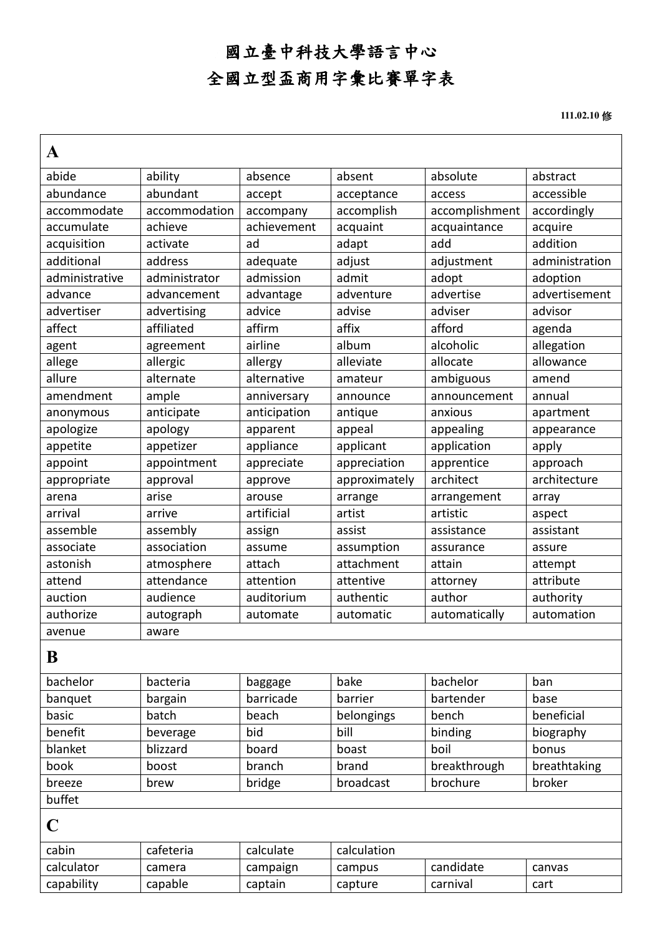## 國立臺中科技大學語言中心 全國立型盃商用字彙比賽單字表

 **111.02.10** 修

| A              |               |              |               |                |                |
|----------------|---------------|--------------|---------------|----------------|----------------|
| abide          | ability       | absence      | absent        | absolute       | abstract       |
| abundance      | abundant      | accept       | acceptance    | access         | accessible     |
| accommodate    | accommodation | accompany    | accomplish    | accomplishment | accordingly    |
| accumulate     | achieve       | achievement  | acquaint      | acquaintance   | acquire        |
| acquisition    | activate      | ad           | adapt         | add            | addition       |
| additional     | address       | adequate     | adjust        | adjustment     | administration |
| administrative | administrator | admission    | admit         | adopt          | adoption       |
| advance        | advancement   | advantage    | adventure     | advertise      | advertisement  |
| advertiser     | advertising   | advice       | advise        | adviser        | advisor        |
| affect         | affiliated    | affirm       | affix         | afford         | agenda         |
| agent          | agreement     | airline      | album         | alcoholic      | allegation     |
| allege         | allergic      | allergy      | alleviate     | allocate       | allowance      |
| allure         | alternate     | alternative  | amateur       | ambiguous      | amend          |
| amendment      | ample         | anniversary  | announce      | announcement   | annual         |
| anonymous      | anticipate    | anticipation | antique       | anxious        | apartment      |
| apologize      | apology       | apparent     | appeal        | appealing      | appearance     |
| appetite       | appetizer     | appliance    | applicant     | application    | apply          |
| appoint        | appointment   | appreciate   | appreciation  | apprentice     | approach       |
| appropriate    | approval      | approve      | approximately | architect      | architecture   |
| arena          | arise         | arouse       | arrange       | arrangement    | array          |
| arrival        | arrive        | artificial   | artist        | artistic       | aspect         |
| assemble       | assembly      | assign       | assist        | assistance     | assistant      |
| associate      | association   | assume       | assumption    | assurance      | assure         |
| astonish       | atmosphere    | attach       | attachment    | attain         | attempt        |
| attend         | attendance    | attention    | attentive     | attorney       | attribute      |
| auction        | audience      | auditorium   | authentic     | author         | authority      |
| authorize      | autograph     | automate     | automatic     | automatically  | automation     |
| avenue         | aware         |              |               |                |                |
| B              |               |              |               |                |                |
| bachelor       | bacteria      | baggage      | bake          | bachelor       | ban            |
| banquet        | bargain       | barricade    | barrier       | bartender      | base           |
| basic          | batch         | beach        | belongings    | bench          | beneficial     |
| benefit        | beverage      | bid          | bill          | binding        | biography      |
| blanket        | blizzard      | board        | boast         | boil           | bonus          |
| book           | boost         | branch       | brand         | breakthrough   | breathtaking   |
| breeze         | brew          | bridge       | broadcast     | brochure       | broker         |
| buffet         |               |              |               |                |                |
| $\mathbf C$    |               |              |               |                |                |
| cabin          | cafeteria     | calculate    | calculation   |                |                |
| calculator     | camera        | campaign     | campus        | candidate      | canvas         |
| capability     | capable       | captain      | capture       | carnival       | cart           |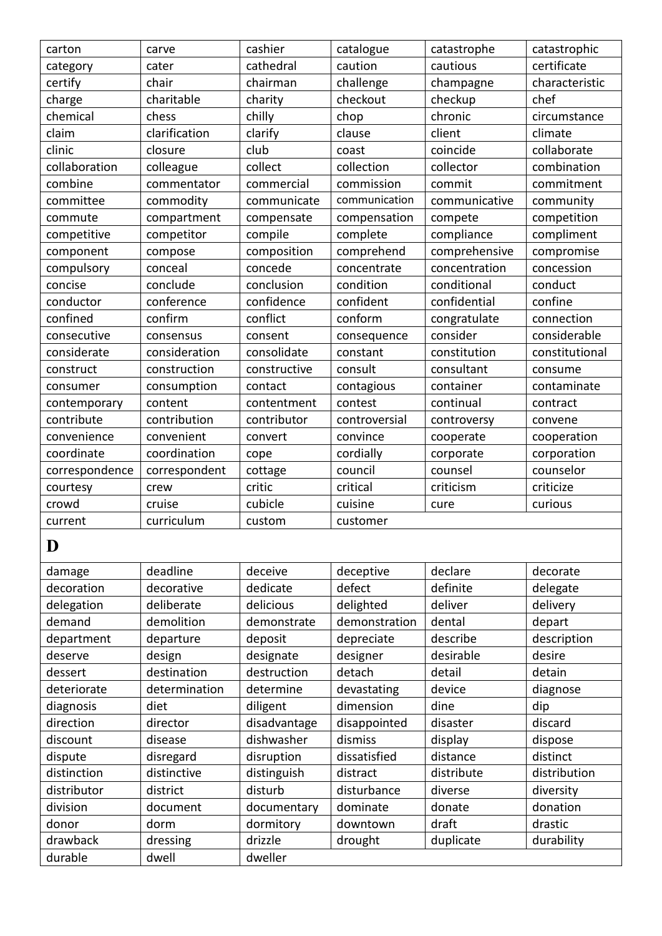| carton         | carve         | cashier      | catalogue     | catastrophe   | catastrophic   |
|----------------|---------------|--------------|---------------|---------------|----------------|
| category       | cater         | cathedral    | caution       | cautious      | certificate    |
| certify        | chair         | chairman     | challenge     | champagne     | characteristic |
| charge         | charitable    | charity      | checkout      | checkup       | chef           |
| chemical       | chess         | chilly       | chop          | chronic       | circumstance   |
| claim          | clarification | clarify      | clause        | client        | climate        |
| clinic         | closure       | club         | coast         | coincide      | collaborate    |
| collaboration  | colleague     | collect      | collection    | collector     | combination    |
| combine        | commentator   | commercial   | commission    | commit        | commitment     |
| committee      | commodity     | communicate  | communication | communicative | community      |
| commute        | compartment   | compensate   | compensation  | compete       | competition    |
| competitive    | competitor    | compile      | complete      | compliance    | compliment     |
| component      | compose       | composition  | comprehend    | comprehensive | compromise     |
| compulsory     | conceal       | concede      | concentrate   | concentration | concession     |
| concise        | conclude      | conclusion   | condition     | conditional   | conduct        |
| conductor      | conference    | confidence   | confident     | confidential  | confine        |
| confined       | confirm       | conflict     | conform       | congratulate  | connection     |
| consecutive    | consensus     | consent      | consequence   | consider      | considerable   |
| considerate    | consideration | consolidate  | constant      | constitution  | constitutional |
| construct      | construction  | constructive | consult       | consultant    | consume        |
| consumer       | consumption   | contact      | contagious    | container     | contaminate    |
| contemporary   | content       | contentment  | contest       | continual     | contract       |
| contribute     | contribution  | contributor  | controversial | controversy   | convene        |
| convenience    | convenient    | convert      | convince      | cooperate     | cooperation    |
| coordinate     | coordination  | cope         | cordially     | corporate     | corporation    |
| correspondence | correspondent | cottage      | council       | counsel       | counselor      |
| courtesy       | crew          | critic       | critical      | criticism     | criticize      |
| crowd          | cruise        | cubicle      | cuisine       | cure          | curious        |
| current        | curriculum    | custom       | customer      |               |                |
|                |               |              |               |               |                |
| D              |               |              |               |               |                |
| damage         | deadline      | deceive      | deceptive     | declare       | decorate       |
| decoration     | decorative    | dedicate     | defect        | definite      | delegate       |
| delegation     | deliberate    | delicious    | delighted     | deliver       | delivery       |
| demand         | demolition    | demonstrate  | demonstration | dental        | depart         |
| department     | departure     | deposit      | depreciate    | describe      | description    |
| deserve        | design        | designate    | designer      | desirable     | desire         |
| dessert        | destination   | destruction  | detach        | detail        | detain         |
| deteriorate    | determination | determine    | devastating   | device        | diagnose       |
| diagnosis      | diet          | diligent     | dimension     | dine          | dip            |
| direction      | director      | disadvantage | disappointed  | disaster      | discard        |
| discount       | disease       | dishwasher   | dismiss       | display       | dispose        |
| dispute        | disregard     | disruption   | dissatisfied  | distance      | distinct       |
| distinction    | distinctive   | distinguish  | distract      | distribute    | distribution   |
| distributor    | district      | disturb      | disturbance   | diverse       | diversity      |
| division       | document      | documentary  | dominate      | donate        | donation       |
| donor          | dorm          | dormitory    | downtown      | draft         | drastic        |
|                |               |              |               |               |                |

drawback dressing drizzle drought duplicate durability

durable dwell dweller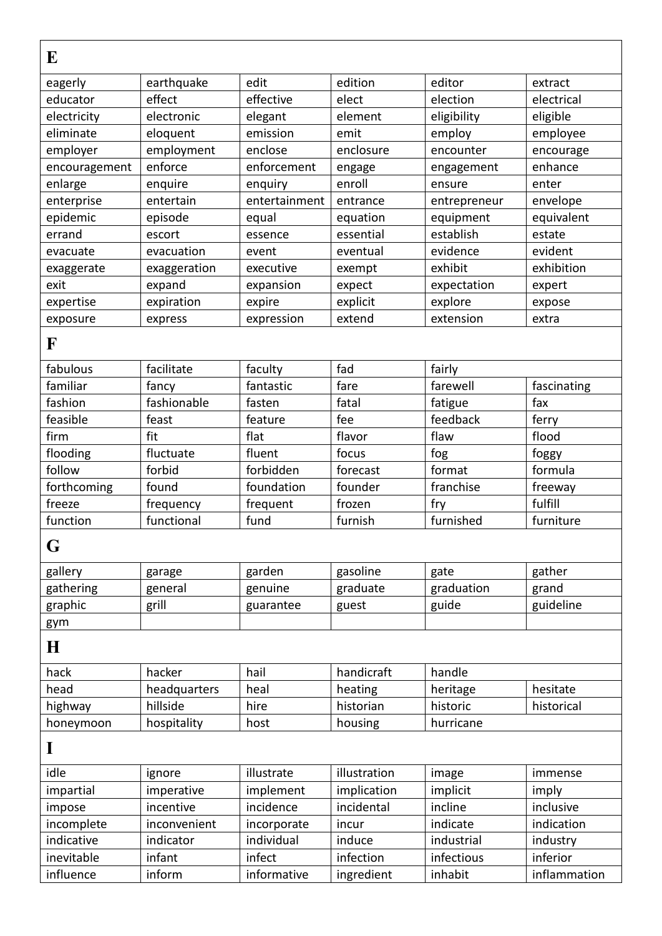| E             |              |               |              |              |              |
|---------------|--------------|---------------|--------------|--------------|--------------|
| eagerly       | earthquake   | edit          | edition      | editor       | extract      |
| educator      | effect       | effective     | elect        | election     | electrical   |
| electricity   | electronic   | elegant       | element      | eligibility  | eligible     |
| eliminate     | eloquent     | emission      | emit         | employ       | employee     |
| employer      | employment   | enclose       | enclosure    | encounter    | encourage    |
| encouragement | enforce      | enforcement   | engage       | engagement   | enhance      |
| enlarge       | enquire      | enquiry       | enroll       | ensure       | enter        |
| enterprise    | entertain    | entertainment | entrance     | entrepreneur | envelope     |
| epidemic      | episode      | equal         | equation     | equipment    | equivalent   |
| errand        | escort       | essence       | essential    | establish    | estate       |
| evacuate      | evacuation   | event         | eventual     | evidence     | evident      |
| exaggerate    | exaggeration | executive     | exempt       | exhibit      | exhibition   |
| exit          | expand       | expansion     | expect       | expectation  | expert       |
| expertise     | expiration   | expire        | explicit     | explore      | expose       |
| exposure      | express      | expression    | extend       | extension    | extra        |
| F             |              |               |              |              |              |
| fabulous      | facilitate   | faculty       | fad          | fairly       |              |
| familiar      | fancy        | fantastic     | fare         | farewell     | fascinating  |
| fashion       | fashionable  | fasten        | fatal        | fatigue      | fax          |
| feasible      | feast        | feature       | fee          | feedback     | ferry        |
| firm          | fit          | flat          | flavor       | flaw         | flood        |
| flooding      | fluctuate    | fluent        | focus        | fog          | foggy        |
| follow        | forbid       | forbidden     | forecast     | format       | formula      |
| forthcoming   | found        | foundation    | founder      | franchise    | freeway      |
| freeze        | frequency    | frequent      | frozen       | fry          | fulfill      |
| function      | functional   | fund          | furnish      | furnished    | furniture    |
| G             |              |               |              |              |              |
| gallery       | garage       | garden        | gasoline     | gate         | gather       |
| gathering     | general      | genuine       | graduate     | graduation   | grand        |
| graphic       | grill        | guarantee     | guest        | guide        | guideline    |
| gym           |              |               |              |              |              |
| $\bf H$       |              |               |              |              |              |
| hack          | hacker       | hail          | handicraft   | handle       |              |
| head          | headquarters | heal          | heating      | heritage     | hesitate     |
| highway       | hillside     | hire          | historian    | historic     | historical   |
| honeymoon     | hospitality  | host          | housing      | hurricane    |              |
| I             |              |               |              |              |              |
| idle          | ignore       | illustrate    | illustration | image        | immense      |
| impartial     | imperative   | implement     | implication  | implicit     | imply        |
| impose        | incentive    | incidence     | incidental   | incline      | inclusive    |
| incomplete    | inconvenient | incorporate   | incur        | indicate     | indication   |
| indicative    | indicator    | individual    | induce       | industrial   | industry     |
| inevitable    | infant       | infect        | infection    | infectious   | inferior     |
| influence     | inform       | informative   | ingredient   | inhabit      | inflammation |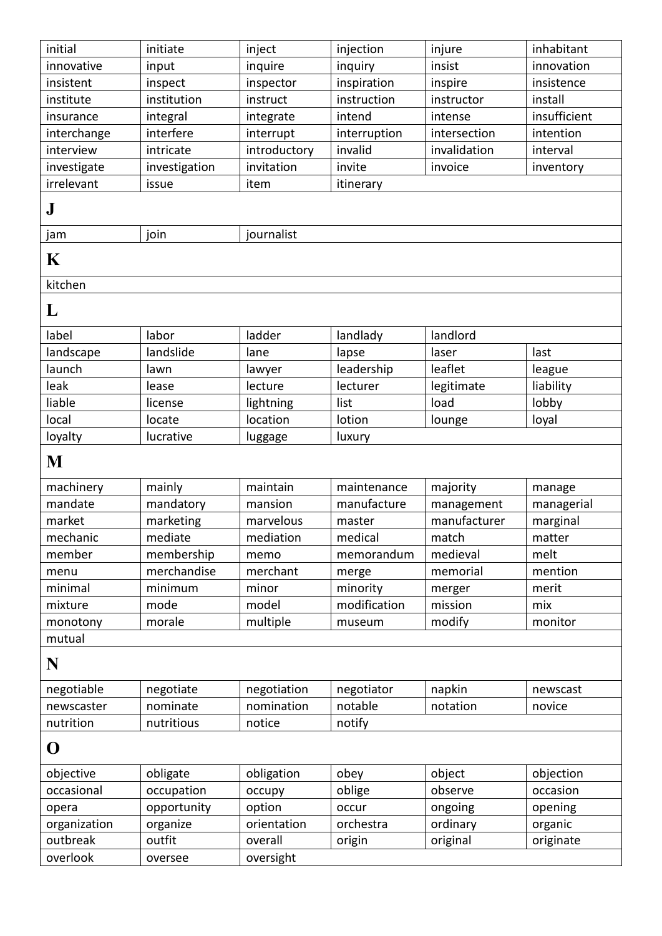| initial      | initiate      | inject       | injection    | injure       | inhabitant   |
|--------------|---------------|--------------|--------------|--------------|--------------|
| innovative   | input         | inquire      | inquiry      | insist       | innovation   |
| insistent    | inspect       | inspector    | inspiration  | inspire      | insistence   |
| institute    | institution   | instruct     | instruction  | instructor   | install      |
| insurance    | integral      | integrate    | intend       | intense      | insufficient |
| interchange  | interfere     | interrupt    | interruption | intersection | intention    |
| interview    | intricate     | introductory | invalid      | invalidation | interval     |
| investigate  | investigation | invitation   | invite       | invoice      | inventory    |
| irrelevant   | issue         | item         | itinerary    |              |              |
| ${\bf J}$    |               |              |              |              |              |
| jam          | join          | journalist   |              |              |              |
| K            |               |              |              |              |              |
| kitchen      |               |              |              |              |              |
| L            |               |              |              |              |              |
| label        | labor         | ladder       | landlady     | landlord     |              |
| landscape    | landslide     | lane         | lapse        | laser        | last         |
| launch       | lawn          | lawyer       | leadership   | leaflet      | league       |
| leak         | lease         | lecture      | lecturer     | legitimate   | liability    |
| liable       | license       | lightning    | list         | load         | lobby        |
| local        | locate        | location     | lotion       | lounge       | loyal        |
| loyalty      | lucrative     | luggage      | luxury       |              |              |
| M            |               |              |              |              |              |
| machinery    | mainly        | maintain     | maintenance  | majority     | manage       |
| mandate      | mandatory     | mansion      | manufacture  | management   | managerial   |
| market       | marketing     | marvelous    | master       | manufacturer | marginal     |
| mechanic     | mediate       | mediation    | medical      | match        | matter       |
| member       | membership    | memo         | memorandum   | medieval     | melt         |
| menu         | merchandise   | merchant     | merge        | memorial     | mention      |
| minimal      | minimum       | minor        | minority     | merger       | merit        |
| mixture      | mode          | model        | modification | mission      | mix          |
| monotony     | morale        | multiple     | museum       | modify       | monitor      |
| mutual       |               |              |              |              |              |
| N            |               |              |              |              |              |
| negotiable   | negotiate     | negotiation  | negotiator   | napkin       | newscast     |
| newscaster   | nominate      | nomination   | notable      | notation     | novice       |
| nutrition    | nutritious    | notice       | notify       |              |              |
| O            |               |              |              |              |              |
| objective    | obligate      | obligation   | obey         | object       | objection    |
| occasional   | occupation    | occupy       | oblige       | observe      | occasion     |
| opera        | opportunity   | option       | occur        | ongoing      | opening      |
| organization | organize      | orientation  | orchestra    | ordinary     | organic      |
| outbreak     |               |              | origin       | original     |              |
|              | outfit        | overall      |              |              | originate    |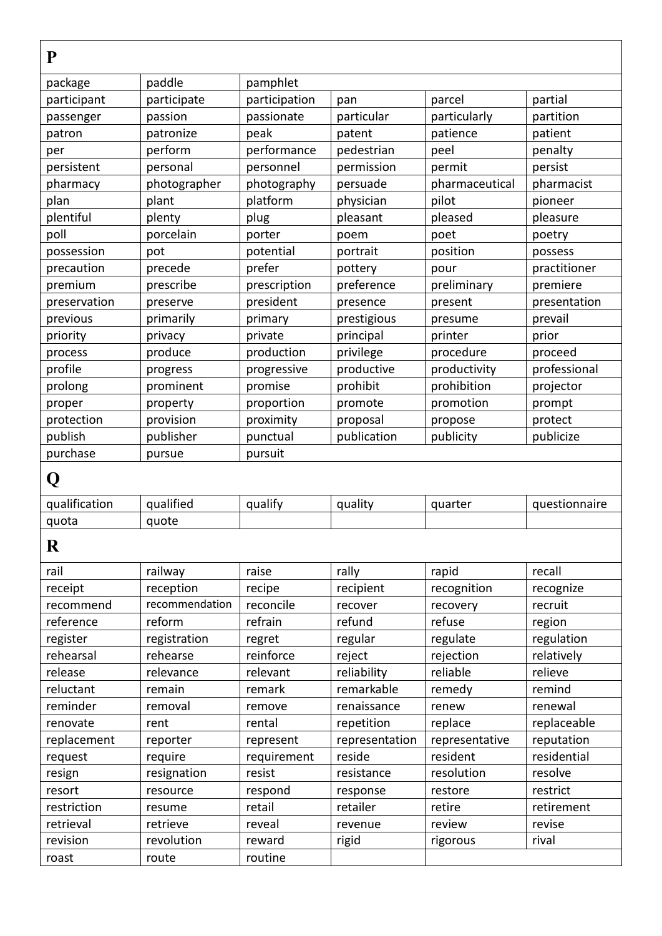| P             |                |               |             |                |               |
|---------------|----------------|---------------|-------------|----------------|---------------|
| package       | paddle         | pamphlet      |             |                |               |
| participant   | participate    | participation | pan         | parcel         | partial       |
| passenger     | passion        | passionate    | particular  | particularly   | partition     |
| patron        | patronize      | peak          | patent      | patience       | patient       |
| per           | perform        | performance   | pedestrian  | peel           | penalty       |
| persistent    | personal       | personnel     | permission  | permit         | persist       |
| pharmacy      | photographer   | photography   | persuade    | pharmaceutical | pharmacist    |
| plan          | plant          | platform      | physician   | pilot          | pioneer       |
| plentiful     | plenty         | plug          | pleasant    | pleased        | pleasure      |
| poll          | porcelain      | porter        | poem        | poet           | poetry        |
| possession    | pot            | potential     | portrait    | position       | possess       |
| precaution    | precede        | prefer        | pottery     | pour           | practitioner  |
| premium       | prescribe      | prescription  | preference  | preliminary    | premiere      |
| preservation  | preserve       | president     | presence    | present        | presentation  |
| previous      | primarily      | primary       | prestigious | presume        | prevail       |
| priority      | privacy        | private       | principal   | printer        | prior         |
| process       | produce        | production    | privilege   | procedure      | proceed       |
| profile       | progress       | progressive   | productive  | productivity   | professional  |
| prolong       | prominent      | promise       | prohibit    | prohibition    | projector     |
| proper        | property       | proportion    | promote     | promotion      | prompt        |
| protection    | provision      | proximity     | proposal    | propose        | protect       |
| publish       | publisher      | punctual      | publication | publicity      | publicize     |
| purchase      | pursue         | pursuit       |             |                |               |
| Q             |                |               |             |                |               |
| qualification | qualified      | qualify       | quality     | quarter        | questionnaire |
| quota         | quote          |               |             |                |               |
| $\mathbf R$   |                |               |             |                |               |
| rail          | railway        | raise         | rally       | rapid          | recall        |
| receipt       | reception      | recipe        | recipient   | recognition    | recognize     |
| recommend     | recommendation | reconcile     | recover     | recovery       | recruit       |
| reference     | reform         | refrain       | refund      | refuse         | region        |
| register      | registration   | regret        | regular     | regulate       | regulation    |
| rehearsal     | rehearse       | reinforce     | reject      | rejection      | relatively    |
| release       | relevance      | relevant      | reliability | reliable       | relieve       |

reluctant remain | remark | remarkable remedy | remind reminder removal remove renaissance renew renewal renovate rent rental repetition replace replaceable replacement reporter represent representation representative reputation request | require | requirement | reside | resident | resident | residential resign | resignation | resist | resistance | resolution | resolve resort resource respond response restore restrict restriction | resume | retail | retailer | retire | retirement retrieval | retrieve | reveal | revenue | review | revise revision | revolution | reward | rigid | rigorous | rival

roast route routine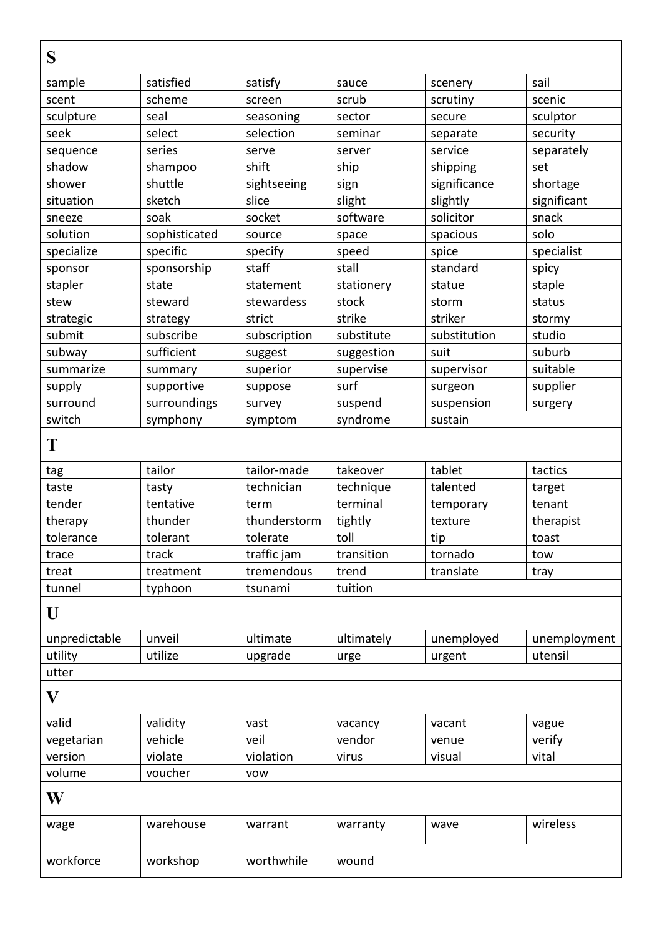| S             |               |              |            |              |              |
|---------------|---------------|--------------|------------|--------------|--------------|
| sample        | satisfied     | satisfy      | sauce      | scenery      | sail         |
| scent         | scheme        | screen       | scrub      | scrutiny     | scenic       |
| sculpture     | seal          | seasoning    | sector     | secure       | sculptor     |
| seek          | select        | selection    | seminar    | separate     | security     |
| sequence      | series        | serve        | server     | service      | separately   |
| shadow        | shampoo       | shift        | ship       | shipping     | set          |
| shower        | shuttle       | sightseeing  | sign       | significance | shortage     |
| situation     | sketch        | slice        | slight     | slightly     | significant  |
| sneeze        | soak          | socket       | software   | solicitor    | snack        |
| solution      | sophisticated | source       | space      | spacious     | solo         |
| specialize    | specific      | specify      | speed      | spice        | specialist   |
| sponsor       | sponsorship   | staff        | stall      | standard     | spicy        |
| stapler       | state         | statement    | stationery | statue       | staple       |
| stew          | steward       | stewardess   | stock      | storm        | status       |
| strategic     | strategy      | strict       | strike     | striker      | stormy       |
| submit        | subscribe     | subscription | substitute | substitution | studio       |
| subway        | sufficient    | suggest      | suggestion | suit         | suburb       |
| summarize     | summary       | superior     | supervise  | supervisor   | suitable     |
| supply        | supportive    | suppose      | surf       | surgeon      | supplier     |
| surround      | surroundings  | survey       | suspend    | suspension   | surgery      |
| switch        | symphony      | symptom      | syndrome   | sustain      |              |
| T             |               |              |            |              |              |
| tag           | tailor        | tailor-made  | takeover   | tablet       | tactics      |
| taste         | tasty         | technician   | technique  | talented     | target       |
| tender        | tentative     | term         | terminal   | temporary    | tenant       |
| therapy       | thunder       | thunderstorm | tightly    | texture      | therapist    |
| tolerance     | tolerant      | tolerate     | toll       | tip          | toast        |
| trace         | track         | traffic jam  | transition | tornado      | tow          |
| treat         | treatment     | tremendous   | trend      | translate    | tray         |
| tunnel        | typhoon       | tsunami      | tuition    |              |              |
| U             |               |              |            |              |              |
| unpredictable | unveil        | ultimate     | ultimately | unemployed   | unemployment |
| utility       | utilize       | upgrade      | urge       | urgent       | utensil      |
| utter         |               |              |            |              |              |
| $\bf V$       |               |              |            |              |              |
| valid         | validity      | vast         | vacancy    | vacant       | vague        |
| vegetarian    | vehicle       | veil         | vendor     | venue        | verify       |
| version       | violate       | violation    | virus      | visual       | vital        |
| volume        | voucher       | <b>VOW</b>   |            |              |              |
| W             |               |              |            |              |              |
| wage          | warehouse     | warrant      | warranty   | wave         | wireless     |
| workforce     | workshop      | worthwhile   | wound      |              |              |